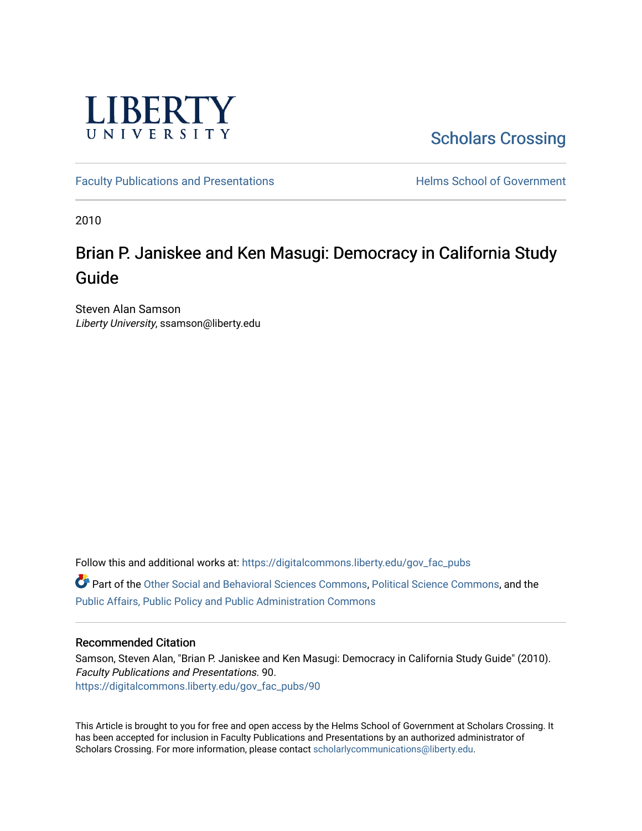

[Scholars Crossing](https://digitalcommons.liberty.edu/) 

[Faculty Publications and Presentations](https://digitalcommons.liberty.edu/gov_fac_pubs) **Exercise School of Government** 

2010

# Brian P. Janiskee and Ken Masugi: Democracy in California Study Guide

Steven Alan Samson Liberty University, ssamson@liberty.edu

Follow this and additional works at: [https://digitalcommons.liberty.edu/gov\\_fac\\_pubs](https://digitalcommons.liberty.edu/gov_fac_pubs?utm_source=digitalcommons.liberty.edu%2Fgov_fac_pubs%2F90&utm_medium=PDF&utm_campaign=PDFCoverPages)

Part of the [Other Social and Behavioral Sciences Commons](http://network.bepress.com/hgg/discipline/437?utm_source=digitalcommons.liberty.edu%2Fgov_fac_pubs%2F90&utm_medium=PDF&utm_campaign=PDFCoverPages), [Political Science Commons](http://network.bepress.com/hgg/discipline/386?utm_source=digitalcommons.liberty.edu%2Fgov_fac_pubs%2F90&utm_medium=PDF&utm_campaign=PDFCoverPages), and the [Public Affairs, Public Policy and Public Administration Commons](http://network.bepress.com/hgg/discipline/393?utm_source=digitalcommons.liberty.edu%2Fgov_fac_pubs%2F90&utm_medium=PDF&utm_campaign=PDFCoverPages)

## Recommended Citation

Samson, Steven Alan, "Brian P. Janiskee and Ken Masugi: Democracy in California Study Guide" (2010). Faculty Publications and Presentations. 90. [https://digitalcommons.liberty.edu/gov\\_fac\\_pubs/90](https://digitalcommons.liberty.edu/gov_fac_pubs/90?utm_source=digitalcommons.liberty.edu%2Fgov_fac_pubs%2F90&utm_medium=PDF&utm_campaign=PDFCoverPages) 

This Article is brought to you for free and open access by the Helms School of Government at Scholars Crossing. It has been accepted for inclusion in Faculty Publications and Presentations by an authorized administrator of Scholars Crossing. For more information, please contact [scholarlycommunications@liberty.edu.](mailto:scholarlycommunications@liberty.edu)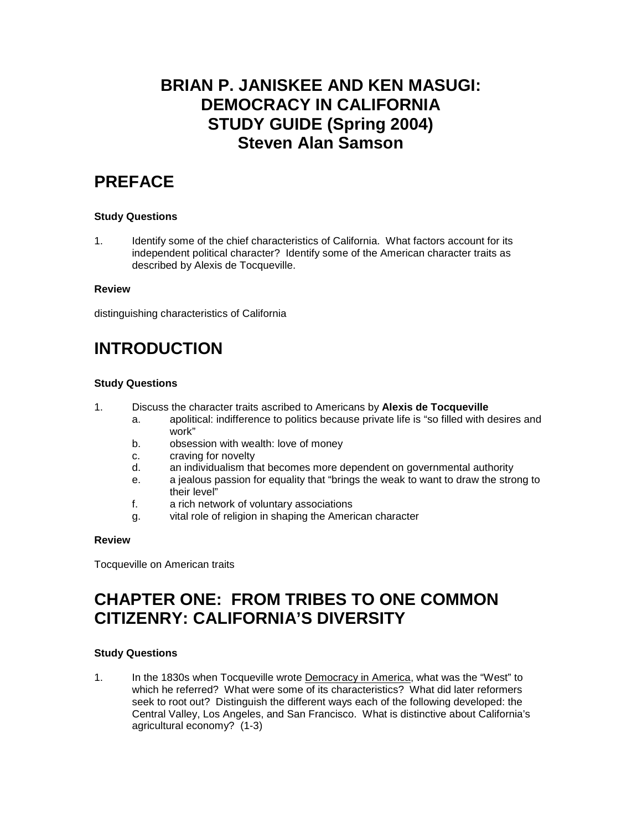## **BRIAN P. JANISKEE AND KEN MASUGI: DEMOCRACY IN CALIFORNIA STUDY GUIDE (Spring 2004) Steven Alan Samson**

## **PREFACE**

## **Study Questions**

1. Identify some of the chief characteristics of California. What factors account for its independent political character? Identify some of the American character traits as described by Alexis de Tocqueville.

### **Review**

distinguishing characteristics of California

## **INTRODUCTION**

## **Study Questions**

- 1. Discuss the character traits ascribed to Americans by **Alexis de Tocqueville**
	- a. apolitical: indifference to politics because private life is "so filled with desires and work"
	- b. obsession with wealth: love of money
	- c. craving for novelty
	- d. an individualism that becomes more dependent on governmental authority
	- e. a jealous passion for equality that "brings the weak to want to draw the strong to their level"
	- f. a rich network of voluntary associations
	- g. vital role of religion in shaping the American character

## **Review**

Tocqueville on American traits

## **CHAPTER ONE: FROM TRIBES TO ONE COMMON CITIZENRY: CALIFORNIA'S DIVERSITY**

## **Study Questions**

1. In the 1830s when Tocqueville wrote Democracy in America, what was the "West" to which he referred? What were some of its characteristics? What did later reformers seek to root out? Distinguish the different ways each of the following developed: the Central Valley, Los Angeles, and San Francisco. What is distinctive about California's agricultural economy? (1-3)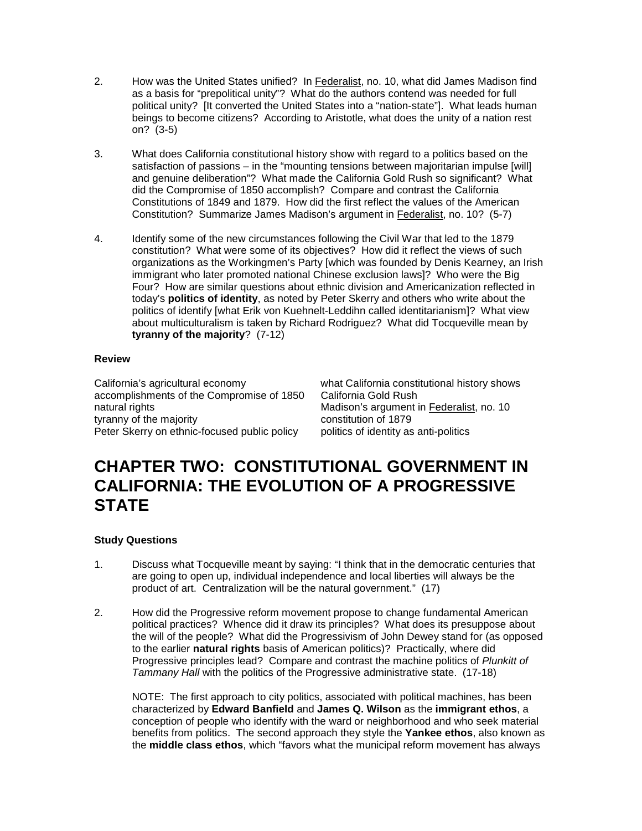- 2. How was the United States unified? In Federalist, no. 10, what did James Madison find as a basis for "prepolitical unity"? What do the authors contend was needed for full political unity? [It converted the United States into a "nation-state"]. What leads human beings to become citizens? According to Aristotle, what does the unity of a nation rest on? (3-5)
- 3. What does California constitutional history show with regard to a politics based on the satisfaction of passions – in the "mounting tensions between majoritarian impulse [will] and genuine deliberation"? What made the California Gold Rush so significant? What did the Compromise of 1850 accomplish? Compare and contrast the California Constitutions of 1849 and 1879. How did the first reflect the values of the American Constitution? Summarize James Madison's argument in Federalist, no. 10? (5-7)
- 4. Identify some of the new circumstances following the Civil War that led to the 1879 constitution? What were some of its objectives? How did it reflect the views of such organizations as the Workingmen's Party [which was founded by Denis Kearney, an Irish immigrant who later promoted national Chinese exclusion laws]? Who were the Big Four? How are similar questions about ethnic division and Americanization reflected in today's **politics of identity**, as noted by Peter Skerry and others who write about the politics of identify [what Erik von Kuehnelt-Leddihn called identitarianism]? What view about multiculturalism is taken by Richard Rodriguez? What did Tocqueville mean by **tyranny of the majority**? (7-12)

## **Review**

accomplishments of the Compromise of 1850 California Gold Rush tyranny of the majority constitution of 1879 Peter Skerry on ethnic-focused public policy politics of identity as anti-politics

California's agricultural economy what California constitutional history shows Madison's argument in Federalist, no. 10

## **CHAPTER TWO: CONSTITUTIONAL GOVERNMENT IN CALIFORNIA: THE EVOLUTION OF A PROGRESSIVE STATE**

## **Study Questions**

- 1. Discuss what Tocqueville meant by saying: "I think that in the democratic centuries that are going to open up, individual independence and local liberties will always be the product of art. Centralization will be the natural government." (17)
- 2. How did the Progressive reform movement propose to change fundamental American political practices? Whence did it draw its principles? What does its presuppose about the will of the people? What did the Progressivism of John Dewey stand for (as opposed to the earlier **natural rights** basis of American politics)? Practically, where did Progressive principles lead? Compare and contrast the machine politics of *Plunkitt of Tammany Hall* with the politics of the Progressive administrative state. (17-18)

NOTE: The first approach to city politics, associated with political machines, has been characterized by **Edward Banfield** and **James Q. Wilson** as the **immigrant ethos**, a conception of people who identify with the ward or neighborhood and who seek material benefits from politics. The second approach they style the **Yankee ethos**, also known as the **middle class ethos**, which "favors what the municipal reform movement has always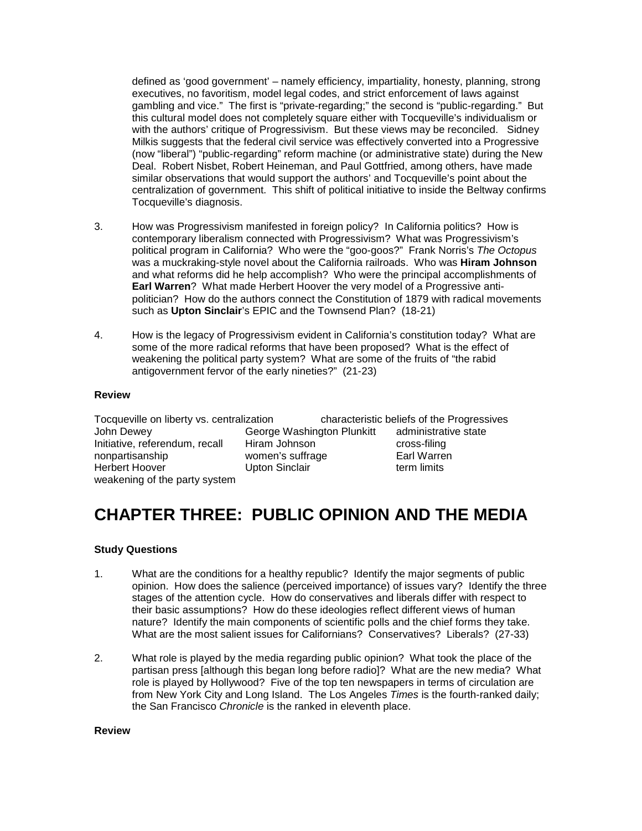defined as 'good government' – namely efficiency, impartiality, honesty, planning, strong executives, no favoritism, model legal codes, and strict enforcement of laws against gambling and vice." The first is "private-regarding;" the second is "public-regarding." But this cultural model does not completely square either with Tocqueville's individualism or with the authors' critique of Progressivism. But these views may be reconciled. Sidney Milkis suggests that the federal civil service was effectively converted into a Progressive (now "liberal") "public-regarding" reform machine (or administrative state) during the New Deal. Robert Nisbet, Robert Heineman, and Paul Gottfried, among others, have made similar observations that would support the authors' and Tocqueville's point about the centralization of government. This shift of political initiative to inside the Beltway confirms Tocqueville's diagnosis.

- 3. How was Progressivism manifested in foreign policy? In California politics? How is contemporary liberalism connected with Progressivism? What was Progressivism's political program in California? Who were the "goo-goos?" Frank Norris's *The Octopus* was a muckraking-style novel about the California railroads. Who was **Hiram Johnson** and what reforms did he help accomplish? Who were the principal accomplishments of **Earl Warren**? What made Herbert Hoover the very model of a Progressive antipolitician? How do the authors connect the Constitution of 1879 with radical movements such as **Upton Sinclair**'s EPIC and the Townsend Plan? (18-21)
- 4. How is the legacy of Progressivism evident in California's constitution today? What are some of the more radical reforms that have been proposed? What is the effect of weakening the political party system? What are some of the fruits of "the rabid antigovernment fervor of the early nineties?" (21-23)

### **Review**

Tocqueville on liberty vs. centralization characteristic beliefs of the Progressives John Dewey **George Washington Plunkitt** administrative state and distribution of the consumer of the ministrative state and the ministrative state on the ministrative state ministrative state and the ministrative or the mi Initiative, referendum, recall<br>nonpartisanship nonpartisanship women's suffrage Earl Warren weakening of the party system

Upton Sinclair

# **CHAPTER THREE: PUBLIC OPINION AND THE MEDIA**

## **Study Questions**

- 1. What are the conditions for a healthy republic? Identify the major segments of public opinion. How does the salience (perceived importance) of issues vary? Identify the three stages of the attention cycle. How do conservatives and liberals differ with respect to their basic assumptions? How do these ideologies reflect different views of human nature? Identify the main components of scientific polls and the chief forms they take. What are the most salient issues for Californians? Conservatives? Liberals? (27-33)
- 2. What role is played by the media regarding public opinion? What took the place of the partisan press [although this began long before radio]? What are the new media? What role is played by Hollywood? Five of the top ten newspapers in terms of circulation are from New York City and Long Island. The Los Angeles *Times* is the fourth-ranked daily; the San Francisco *Chronicle* is the ranked in eleventh place.

### **Review**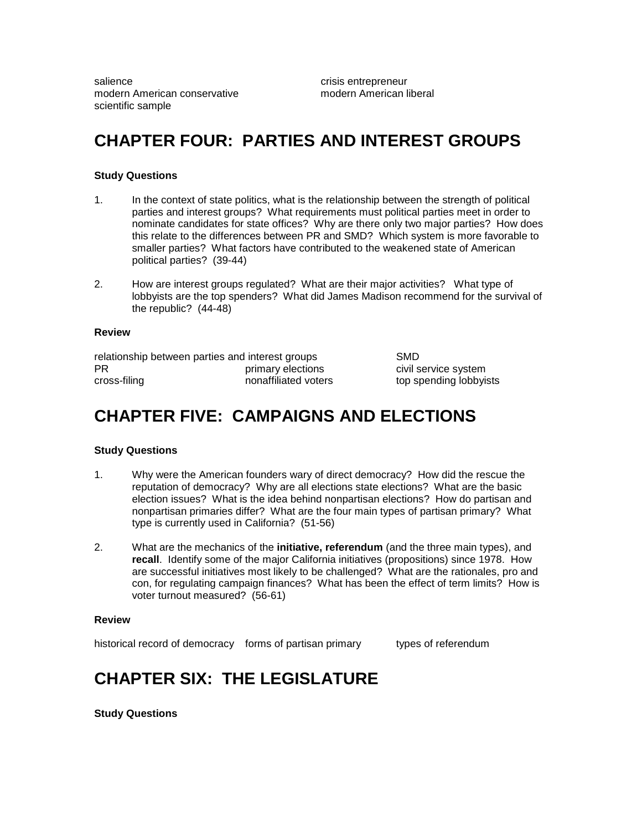salience crisis entrepreneur modern American conservative modern American liberal scientific sample

## **CHAPTER FOUR: PARTIES AND INTEREST GROUPS**

### **Study Questions**

- 1. In the context of state politics, what is the relationship between the strength of political parties and interest groups? What requirements must political parties meet in order to nominate candidates for state offices? Why are there only two major parties? How does this relate to the differences between PR and SMD? Which system is more favorable to smaller parties? What factors have contributed to the weakened state of American political parties? (39-44)
- 2. How are interest groups regulated? What are their major activities? What type of lobbyists are the top spenders? What did James Madison recommend for the survival of the republic? (44-48)

#### **Review**

| relationship between parties and interest groups |                      | <b>SMD</b> |
|--------------------------------------------------|----------------------|------------|
| PR                                               | primary elections    | civil s    |
| cross-filing                                     | nonaffiliated voters | top s      |

civil service system top spending lobbyists

## **CHAPTER FIVE: CAMPAIGNS AND ELECTIONS**

#### **Study Questions**

- 1. Why were the American founders wary of direct democracy? How did the rescue the reputation of democracy? Why are all elections state elections? What are the basic election issues? What is the idea behind nonpartisan elections? How do partisan and nonpartisan primaries differ? What are the four main types of partisan primary? What type is currently used in California? (51-56)
- 2. What are the mechanics of the **initiative, referendum** (and the three main types), and **recall**. Identify some of the major California initiatives (propositions) since 1978. How are successful initiatives most likely to be challenged? What are the rationales, pro and con, for regulating campaign finances? What has been the effect of term limits? How is voter turnout measured? (56-61)

#### **Review**

historical record of democracy forms of partisan primary types of referendum

## **CHAPTER SIX: THE LEGISLATURE**

**Study Questions**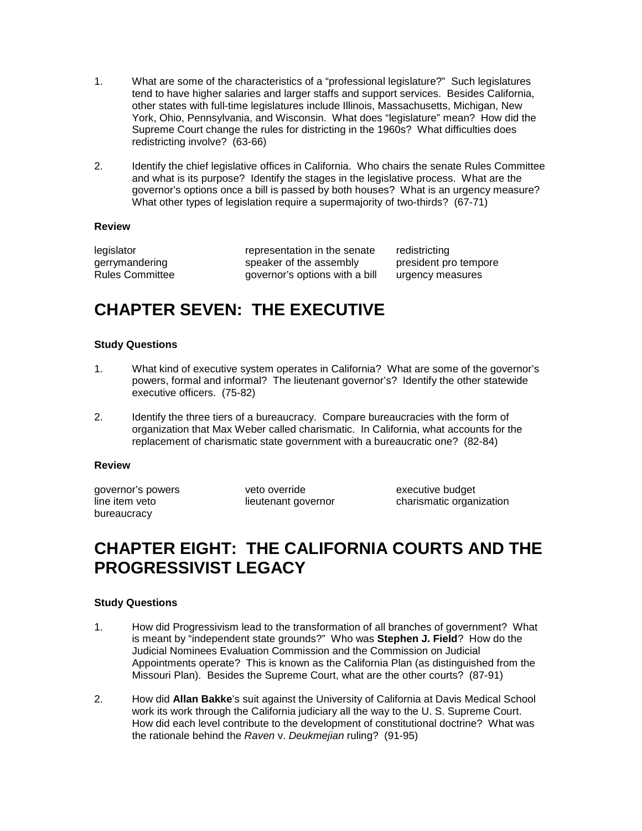- 1. What are some of the characteristics of a "professional legislature?" Such legislatures tend to have higher salaries and larger staffs and support services. Besides California, other states with full-time legislatures include Illinois, Massachusetts, Michigan, New York, Ohio, Pennsylvania, and Wisconsin. What does "legislature" mean? How did the Supreme Court change the rules for districting in the 1960s? What difficulties does redistricting involve? (63-66)
- 2. Identify the chief legislative offices in California. Who chairs the senate Rules Committee and what is its purpose? Identify the stages in the legislative process. What are the governor's options once a bill is passed by both houses? What is an urgency measure? What other types of legislation require a supermajority of two-thirds? (67-71)

### **Review**

legislator representation in the senate redistricting<br>
derrymandering speaker of the assembly president pro tempore legislator representation in the sena<br>gerrymandering speaker of the assembly Rules Committee governor's options with a bill urgency measures

## **CHAPTER SEVEN: THE EXECUTIVE**

### **Study Questions**

- 1. What kind of executive system operates in California? What are some of the governor's powers, formal and informal? The lieutenant governor's? Identify the other statewide executive officers. (75-82)
- 2. Identify the three tiers of a bureaucracy. Compare bureaucracies with the form of organization that Max Weber called charismatic. In California, what accounts for the replacement of charismatic state government with a bureaucratic one? (82-84)

### **Review**

bureaucracy

governor's powers veto override executive budget

line item veto lieutenant governor charismatic organization

## **CHAPTER EIGHT: THE CALIFORNIA COURTS AND THE PROGRESSIVIST LEGACY**

## **Study Questions**

- 1. How did Progressivism lead to the transformation of all branches of government? What is meant by "independent state grounds?" Who was **Stephen J. Field**? How do the Judicial Nominees Evaluation Commission and the Commission on Judicial Appointments operate? This is known as the California Plan (as distinguished from the Missouri Plan). Besides the Supreme Court, what are the other courts? (87-91)
- 2. How did **Allan Bakke**'s suit against the University of California at Davis Medical School work its work through the California judiciary all the way to the U. S. Supreme Court. How did each level contribute to the development of constitutional doctrine? What was the rationale behind the *Raven* v. *Deukmejian* ruling? (91-95)